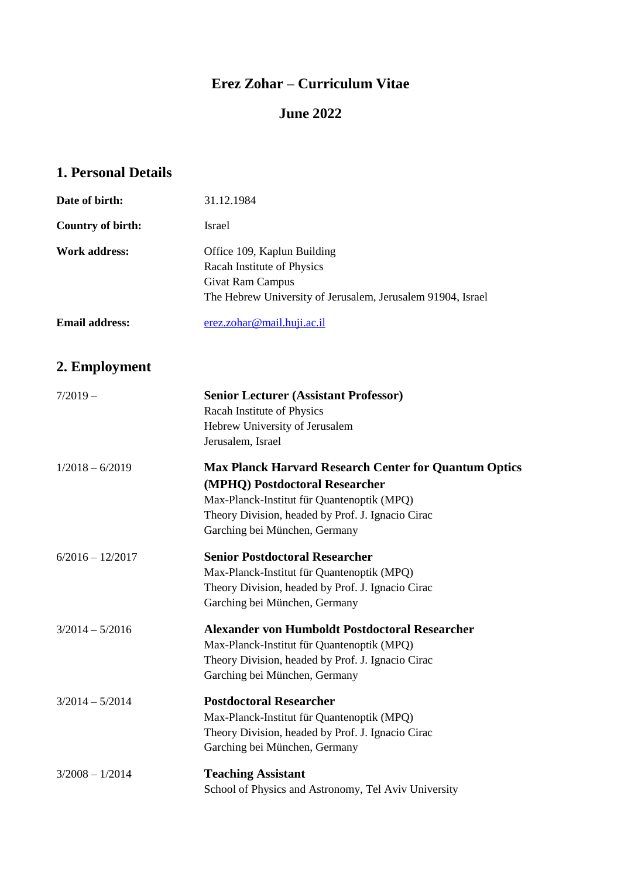## **Erez Zohar – Curriculum Vitae**

## **June 2022**

## **1. Personal Details**

| Date of birth:        | 31.12.1984                                                                                                                                   |
|-----------------------|----------------------------------------------------------------------------------------------------------------------------------------------|
| Country of birth:     | Israel                                                                                                                                       |
| Work address:         | Office 109, Kaplun Building<br>Racah Institute of Physics<br>Givat Ram Campus<br>The Hebrew University of Jerusalem, Jerusalem 91904, Israel |
| <b>Email address:</b> | erez.zohar@mail.huji.ac.il                                                                                                                   |

## **2. Employment**

| $7/2019-$          | <b>Senior Lecturer (Assistant Professor)</b><br>Racah Institute of Physics<br>Hebrew University of Jerusalem<br>Jerusalem, Israel |
|--------------------|-----------------------------------------------------------------------------------------------------------------------------------|
| $1/2018 - 6/2019$  | <b>Max Planck Harvard Research Center for Quantum Optics</b>                                                                      |
|                    | (MPHQ) Postdoctoral Researcher                                                                                                    |
|                    | Max-Planck-Institut für Quantenoptik (MPQ)                                                                                        |
|                    | Theory Division, headed by Prof. J. Ignacio Cirac                                                                                 |
|                    | Garching bei München, Germany                                                                                                     |
| $6/2016 - 12/2017$ | <b>Senior Postdoctoral Researcher</b>                                                                                             |
|                    | Max-Planck-Institut für Quantenoptik (MPQ)                                                                                        |
|                    | Theory Division, headed by Prof. J. Ignacio Cirac                                                                                 |
|                    | Garching bei München, Germany                                                                                                     |
| $3/2014 - 5/2016$  | <b>Alexander von Humboldt Postdoctoral Researcher</b>                                                                             |
|                    | Max-Planck-Institut für Quantenoptik (MPQ)                                                                                        |
|                    | Theory Division, headed by Prof. J. Ignacio Cirac                                                                                 |
|                    | Garching bei München, Germany                                                                                                     |
| $3/2014 - 5/2014$  | <b>Postdoctoral Researcher</b>                                                                                                    |
|                    | Max-Planck-Institut für Quantenoptik (MPQ)                                                                                        |
|                    | Theory Division, headed by Prof. J. Ignacio Cirac                                                                                 |
|                    | Garching bei München, Germany                                                                                                     |
| $3/2008 - 1/2014$  | <b>Teaching Assistant</b>                                                                                                         |
|                    | School of Physics and Astronomy, Tel Aviv University                                                                              |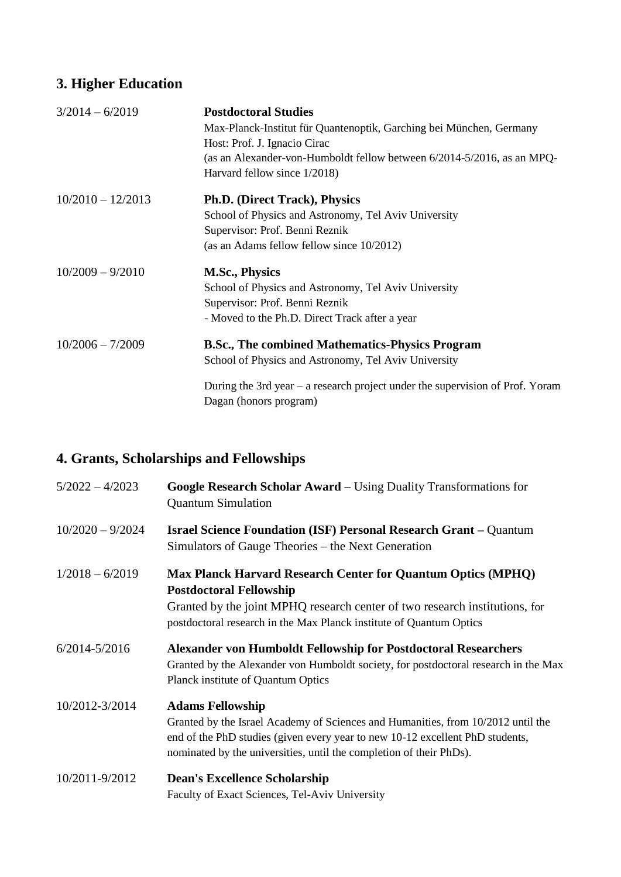## **3. Higher Education**

| $3/2014 - 6/2019$   | <b>Postdoctoral Studies</b>                                                     |
|---------------------|---------------------------------------------------------------------------------|
|                     | Max-Planck-Institut für Quantenoptik, Garching bei München, Germany             |
|                     | Host: Prof. J. Ignacio Cirac                                                    |
|                     | (as an Alexander-von-Humboldt fellow between 6/2014-5/2016, as an MPQ-          |
|                     | Harvard fellow since 1/2018)                                                    |
| $10/2010 - 12/2013$ | <b>Ph.D.</b> (Direct Track), Physics                                            |
|                     | School of Physics and Astronomy, Tel Aviv University                            |
|                     | Supervisor: Prof. Benni Reznik                                                  |
|                     | (as an Adams fellow fellow since 10/2012)                                       |
| $10/2009 - 9/2010$  | <b>M.Sc., Physics</b>                                                           |
|                     | School of Physics and Astronomy, Tel Aviv University                            |
|                     | Supervisor: Prof. Benni Reznik                                                  |
|                     | - Moved to the Ph.D. Direct Track after a year                                  |
| $10/2006 - 7/2009$  | <b>B.Sc., The combined Mathematics-Physics Program</b>                          |
|                     | School of Physics and Astronomy, Tel Aviv University                            |
|                     | During the 3rd year $-$ a research project under the supervision of Prof. Yoram |
|                     | Dagan (honors program)                                                          |

# **4. Grants, Scholarships and Fellowships**

| $5/2022 - 4/2023$  | <b>Google Research Scholar Award – Using Duality Transformations for</b><br><b>Quantum Simulation</b>                                                                                                                                                               |
|--------------------|---------------------------------------------------------------------------------------------------------------------------------------------------------------------------------------------------------------------------------------------------------------------|
| $10/2020 - 9/2024$ | <b>Israel Science Foundation (ISF) Personal Research Grant - Quantum</b><br>Simulators of Gauge Theories – the Next Generation                                                                                                                                      |
| $1/2018 - 6/2019$  | Max Planck Harvard Research Center for Quantum Optics (MPHQ)<br><b>Postdoctoral Fellowship</b><br>Granted by the joint MPHQ research center of two research institutions, for<br>postdoctoral research in the Max Planck institute of Quantum Optics                |
| $6/2014 - 5/2016$  | <b>Alexander von Humboldt Fellowship for Postdoctoral Researchers</b><br>Granted by the Alexander von Humboldt society, for postdoctoral research in the Max<br>Planck institute of Quantum Optics                                                                  |
| 10/2012-3/2014     | <b>Adams Fellowship</b><br>Granted by the Israel Academy of Sciences and Humanities, from 10/2012 until the<br>end of the PhD studies (given every year to new 10-12 excellent PhD students,<br>nominated by the universities, until the completion of their PhDs). |
| 10/2011-9/2012     | <b>Dean's Excellence Scholarship</b><br>Faculty of Exact Sciences, Tel-Aviv University                                                                                                                                                                              |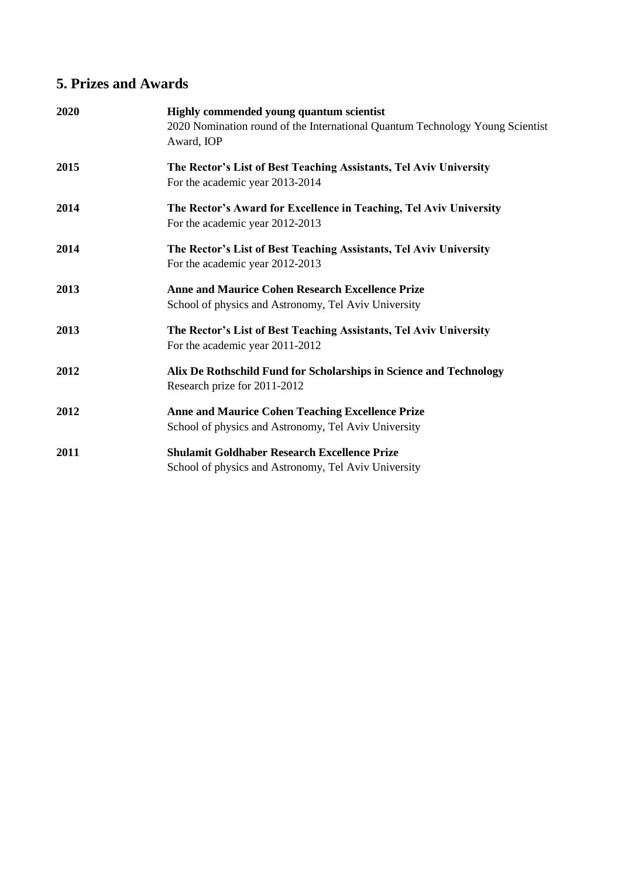## **5. Prizes and Awards**

| 2020 | Highly commended young quantum scientist<br>2020 Nomination round of the International Quantum Technology Young Scientist<br>Award, IOP |
|------|-----------------------------------------------------------------------------------------------------------------------------------------|
| 2015 | The Rector's List of Best Teaching Assistants, Tel Aviv University<br>For the academic year 2013-2014                                   |
| 2014 | The Rector's Award for Excellence in Teaching, Tel Aviv University<br>For the academic year 2012-2013                                   |
| 2014 | The Rector's List of Best Teaching Assistants, Tel Aviv University<br>For the academic year 2012-2013                                   |
| 2013 | <b>Anne and Maurice Cohen Research Excellence Prize</b><br>School of physics and Astronomy, Tel Aviv University                         |
| 2013 | The Rector's List of Best Teaching Assistants, Tel Aviv University<br>For the academic year 2011-2012                                   |
| 2012 | Alix De Rothschild Fund for Scholarships in Science and Technology<br>Research prize for 2011-2012                                      |
| 2012 | <b>Anne and Maurice Cohen Teaching Excellence Prize</b><br>School of physics and Astronomy, Tel Aviv University                         |
| 2011 | <b>Shulamit Goldhaber Research Excellence Prize</b><br>School of physics and Astronomy, Tel Aviv University                             |
|      |                                                                                                                                         |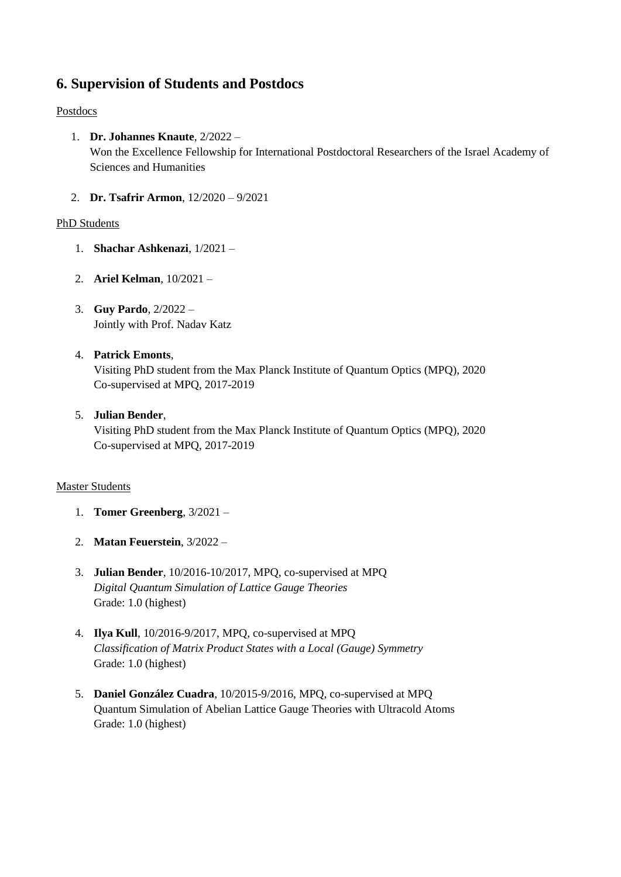### **6. Supervision of Students and Postdocs**

#### Postdocs

- 1. **Dr. Johannes Knaute**, 2/2022 Won the Excellence Fellowship for International Postdoctoral Researchers of the Israel Academy of Sciences and Humanities
- 2. **Dr. Tsafrir Armon**, 12/2020 9/2021

#### PhD Students

- 1. **Shachar Ashkenazi**, 1/2021 –
- 2. **Ariel Kelman**, 10/2021 –
- 3. **Guy Pardo**, 2/2022 Jointly with Prof. Nadav Katz
- 4. **Patrick Emonts**, Visiting PhD student from the Max Planck Institute of Quantum Optics (MPQ), 2020 Co-supervised at MPQ, 2017-2019

#### 5. **Julian Bender**,

Visiting PhD student from the Max Planck Institute of Quantum Optics (MPQ), 2020 Co-supervised at MPQ, 2017-2019

#### Master Students

- 1. **Tomer Greenberg**, 3/2021 –
- 2. **Matan Feuerstein**, 3/2022 –
- 3. **Julian Bender**, 10/2016-10/2017, MPQ, co-supervised at MPQ *Digital Quantum Simulation of Lattice Gauge Theories* Grade: 1.0 (highest)
- 4. **Ilya Kull**, 10/2016-9/2017, MPQ, co-supervised at MPQ *Classification of Matrix Product States with a Local (Gauge) Symmetry* Grade: 1.0 (highest)
- 5. **Daniel González Cuadra**, 10/2015-9/2016, MPQ, co-supervised at MPQ Quantum Simulation of Abelian Lattice Gauge Theories with Ultracold Atoms Grade: 1.0 (highest)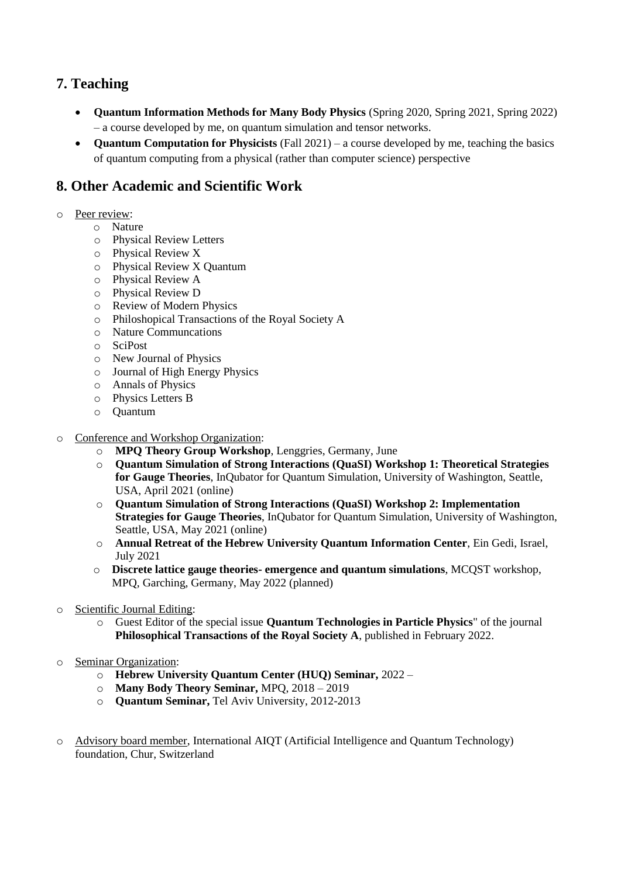### **7. Teaching**

- **Quantum Information Methods for Many Body Physics** (Spring 2020, Spring 2021, Spring 2022) – a course developed by me, on quantum simulation and tensor networks.
- **Ouantum Computation for Physicists** (Fall 2021) a course developed by me, teaching the basics of quantum computing from a physical (rather than computer science) perspective

### **8. Other Academic and Scientific Work**

- o Peer review:
	- o Nature
	- o Physical Review Letters
	- o Physical Review X
	- o Physical Review X Quantum
	- o Physical Review A
	- o Physical Review D
	- o Review of Modern Physics
	- o Philoshopical Transactions of the Royal Society A
	- o Nature Communcations
	- o SciPost
	- o New Journal of Physics
	- o Journal of High Energy Physics
	- o Annals of Physics
	- o Physics Letters B
	- o Quantum
- Conference and Workshop Organization:
	- o **MPQ Theory Group Workshop**, Lenggries, Germany, June
	- o **Quantum Simulation of Strong Interactions (QuaSI) Workshop 1: Theoretical Strategies for Gauge Theories**, InQubator for Quantum Simulation, University of Washington, Seattle, USA, April 2021 (online)
	- o **Quantum Simulation of Strong Interactions (QuaSI) Workshop 2: Implementation Strategies for Gauge Theories**, InQubator for Quantum Simulation, University of Washington, Seattle, USA, May 2021 (online)
	- o **Annual Retreat of the Hebrew University Quantum Information Center**, Ein Gedi, Israel, July 2021
	- o **Discrete lattice gauge theories- emergence and quantum simulations**, MCQST workshop, MPQ, Garching, Germany, May 2022 (planned)
- o Scientific Journal Editing:
	- o Guest Editor of the special issue **Quantum Technologies in Particle Physics**" of the journal **Philosophical Transactions of the Royal Society A**, published in February 2022.
- o Seminar Organization:
	- o **Hebrew University Quantum Center (HUQ) Seminar,** 2022 –
	- o **Many Body Theory Seminar,** MPQ, 2018 2019
	- o **Quantum Seminar,** Tel Aviv University, 2012-2013
- o Advisory board member, International AIQT (Artificial Intelligence and Quantum Technology) foundation, Chur, Switzerland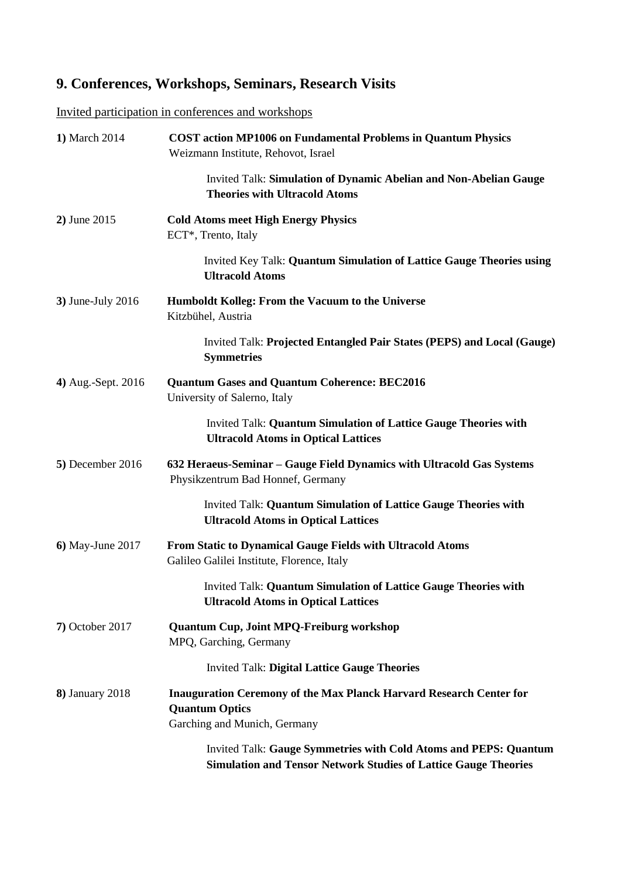## **9. Conferences, Workshops, Seminars, Research Visits**

Invited participation in conferences and workshops

| 1) March 2014            | <b>COST</b> action MP1006 on Fundamental Problems in Quantum Physics<br>Weizmann Institute, Rehovot, Israel                                |
|--------------------------|--------------------------------------------------------------------------------------------------------------------------------------------|
|                          | Invited Talk: Simulation of Dynamic Abelian and Non-Abelian Gauge<br><b>Theories with Ultracold Atoms</b>                                  |
| 2) June 2015             | <b>Cold Atoms meet High Energy Physics</b><br>ECT*, Trento, Italy                                                                          |
|                          | Invited Key Talk: Quantum Simulation of Lattice Gauge Theories using<br><b>Ultracold Atoms</b>                                             |
| <b>3)</b> June-July 2016 | Humboldt Kolleg: From the Vacuum to the Universe<br>Kitzbühel, Austria                                                                     |
|                          | Invited Talk: Projected Entangled Pair States (PEPS) and Local (Gauge)<br><b>Symmetries</b>                                                |
| 4) Aug.-Sept. 2016       | <b>Quantum Gases and Quantum Coherence: BEC2016</b><br>University of Salerno, Italy                                                        |
|                          | <b>Invited Talk: Quantum Simulation of Lattice Gauge Theories with</b><br><b>Ultracold Atoms in Optical Lattices</b>                       |
| 5) December 2016         | 632 Heraeus-Seminar - Gauge Field Dynamics with Ultracold Gas Systems<br>Physikzentrum Bad Honnef, Germany                                 |
|                          | <b>Invited Talk: Quantum Simulation of Lattice Gauge Theories with</b><br><b>Ultracold Atoms in Optical Lattices</b>                       |
| 6) May-June 2017         | From Static to Dynamical Gauge Fields with Ultracold Atoms<br>Galileo Galilei Institute, Florence, Italy                                   |
|                          | Invited Talk: Quantum Simulation of Lattice Gauge Theories with<br><b>Ultracold Atoms in Optical Lattices</b>                              |
| 7) October 2017          | <b>Quantum Cup, Joint MPQ-Freiburg workshop</b><br>MPQ, Garching, Germany                                                                  |
|                          | <b>Invited Talk: Digital Lattice Gauge Theories</b>                                                                                        |
| 8) January 2018          | <b>Inauguration Ceremony of the Max Planck Harvard Research Center for</b><br><b>Quantum Optics</b><br>Garching and Munich, Germany        |
|                          | Invited Talk: Gauge Symmetries with Cold Atoms and PEPS: Quantum<br><b>Simulation and Tensor Network Studies of Lattice Gauge Theories</b> |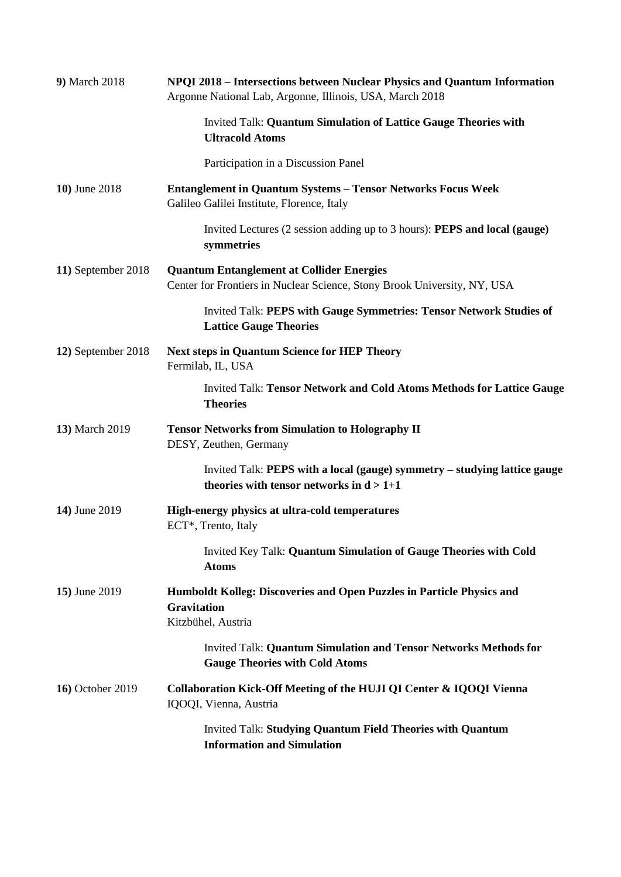| 9) March 2018           | NPQI 2018 – Intersections between Nuclear Physics and Quantum Information<br>Argonne National Lab, Argonne, Illinois, USA, March 2018 |
|-------------------------|---------------------------------------------------------------------------------------------------------------------------------------|
|                         | Invited Talk: Quantum Simulation of Lattice Gauge Theories with<br><b>Ultracold Atoms</b>                                             |
|                         | Participation in a Discussion Panel                                                                                                   |
| 10) June 2018           | <b>Entanglement in Quantum Systems - Tensor Networks Focus Week</b><br>Galileo Galilei Institute, Florence, Italy                     |
|                         | Invited Lectures (2 session adding up to 3 hours): <b>PEPS and local (gauge)</b><br>symmetries                                        |
| 11) September 2018      | <b>Quantum Entanglement at Collider Energies</b><br>Center for Frontiers in Nuclear Science, Stony Brook University, NY, USA          |
|                         | Invited Talk: PEPS with Gauge Symmetries: Tensor Network Studies of<br><b>Lattice Gauge Theories</b>                                  |
| 12) September 2018      | <b>Next steps in Quantum Science for HEP Theory</b><br>Fermilab, IL, USA                                                              |
|                         | <b>Invited Talk: Tensor Network and Cold Atoms Methods for Lattice Gauge</b><br><b>Theories</b>                                       |
| 13) March 2019          | <b>Tensor Networks from Simulation to Holography II</b><br>DESY, Zeuthen, Germany                                                     |
|                         | Invited Talk: PEPS with a local (gauge) symmetry – studying lattice gauge<br>theories with tensor networks in $d > 1+1$               |
| 14) June 2019           | High-energy physics at ultra-cold temperatures<br>ECT*, Trento, Italy                                                                 |
|                         | Invited Key Talk: Quantum Simulation of Gauge Theories with Cold<br><b>Atoms</b>                                                      |
| <b>15)</b> June 2019    | Humboldt Kolleg: Discoveries and Open Puzzles in Particle Physics and<br><b>Gravitation</b><br>Kitzbühel, Austria                     |
|                         | <b>Invited Talk: Quantum Simulation and Tensor Networks Methods for</b><br><b>Gauge Theories with Cold Atoms</b>                      |
| <b>16)</b> October 2019 | Collaboration Kick-Off Meeting of the HUJI QI Center & IQOQI Vienna<br>IQOQI, Vienna, Austria                                         |
|                         | <b>Invited Talk: Studying Quantum Field Theories with Quantum</b><br><b>Information and Simulation</b>                                |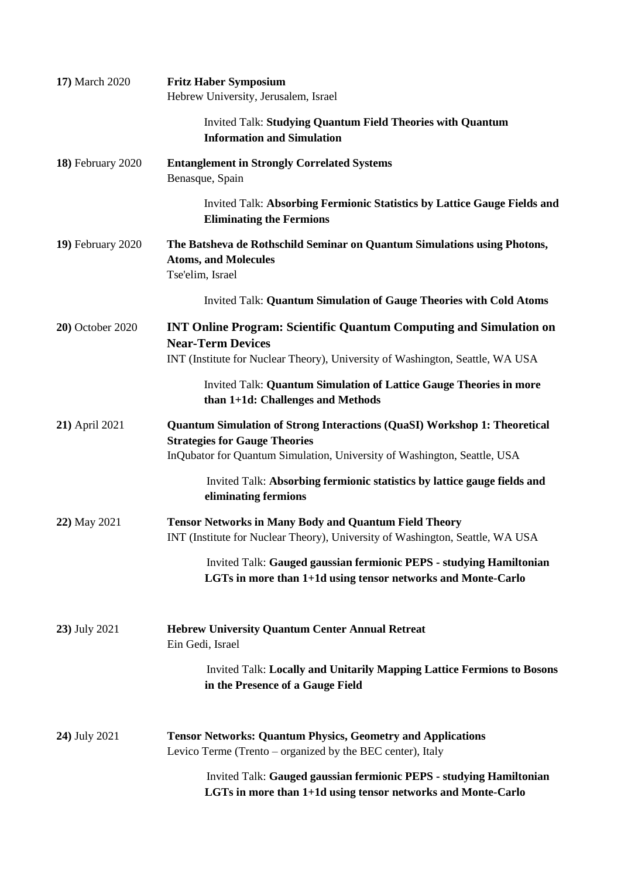| 17) March 2020           | <b>Fritz Haber Symposium</b><br>Hebrew University, Jerusalem, Israel                                                                                                                          |
|--------------------------|-----------------------------------------------------------------------------------------------------------------------------------------------------------------------------------------------|
|                          | <b>Invited Talk: Studying Quantum Field Theories with Quantum</b><br><b>Information and Simulation</b>                                                                                        |
| <b>18)</b> February 2020 | <b>Entanglement in Strongly Correlated Systems</b><br>Benasque, Spain                                                                                                                         |
|                          | Invited Talk: Absorbing Fermionic Statistics by Lattice Gauge Fields and<br><b>Eliminating the Fermions</b>                                                                                   |
| <b>19)</b> February 2020 | The Batsheva de Rothschild Seminar on Quantum Simulations using Photons,<br><b>Atoms, and Molecules</b><br>Tse'elim, Israel                                                                   |
|                          | <b>Invited Talk: Quantum Simulation of Gauge Theories with Cold Atoms</b>                                                                                                                     |
| <b>20)</b> October 2020  | <b>INT Online Program: Scientific Quantum Computing and Simulation on</b><br><b>Near-Term Devices</b><br>INT (Institute for Nuclear Theory), University of Washington, Seattle, WA USA        |
|                          | <b>Invited Talk: Quantum Simulation of Lattice Gauge Theories in more</b><br>than 1+1d: Challenges and Methods                                                                                |
| 21) April 2021           | Quantum Simulation of Strong Interactions (QuaSI) Workshop 1: Theoretical<br><b>Strategies for Gauge Theories</b><br>InQubator for Quantum Simulation, University of Washington, Seattle, USA |
|                          | Invited Talk: Absorbing fermionic statistics by lattice gauge fields and<br>eliminating fermions                                                                                              |
| 22) May 2021             | <b>Tensor Networks in Many Body and Quantum Field Theory</b><br>INT (Institute for Nuclear Theory), University of Washington, Seattle, WA USA                                                 |
|                          | Invited Talk: Gauged gaussian fermionic PEPS - studying Hamiltonian<br>LGTs in more than 1+1d using tensor networks and Monte-Carlo                                                           |
| 23) July 2021            | <b>Hebrew University Quantum Center Annual Retreat</b><br>Ein Gedi, Israel                                                                                                                    |
|                          | <b>Invited Talk: Locally and Unitarily Mapping Lattice Fermions to Bosons</b><br>in the Presence of a Gauge Field                                                                             |
| 24) July 2021            | <b>Tensor Networks: Quantum Physics, Geometry and Applications</b><br>Levico Terme (Trento – organized by the BEC center), Italy                                                              |
|                          | Invited Talk: Gauged gaussian fermionic PEPS - studying Hamiltonian<br>LGTs in more than 1+1d using tensor networks and Monte-Carlo                                                           |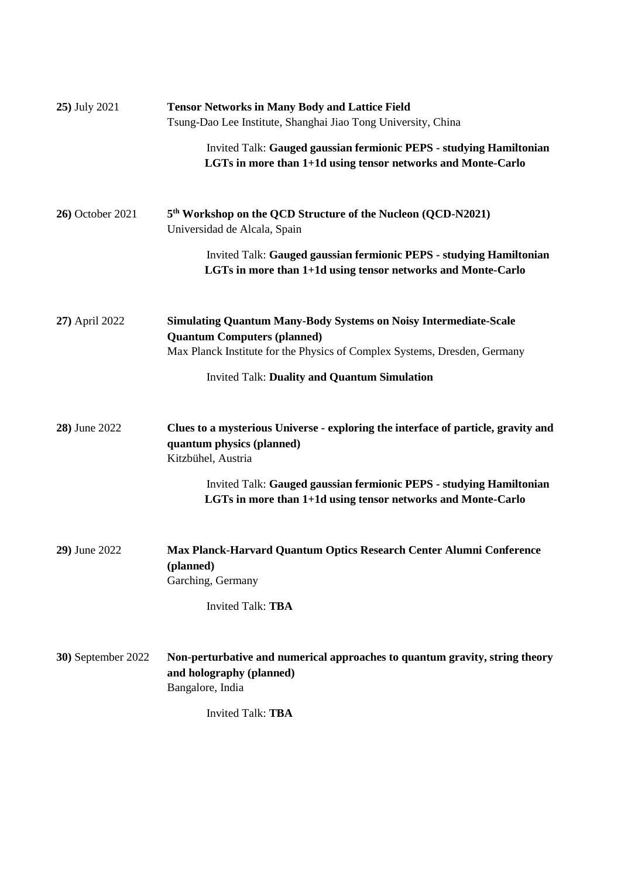| 25) July 2021           | <b>Tensor Networks in Many Body and Lattice Field</b><br>Tsung-Dao Lee Institute, Shanghai Jiao Tong University, China                                                                     |
|-------------------------|--------------------------------------------------------------------------------------------------------------------------------------------------------------------------------------------|
|                         | Invited Talk: Gauged gaussian fermionic PEPS - studying Hamiltonian<br>LGTs in more than 1+1d using tensor networks and Monte-Carlo                                                        |
| <b>26)</b> October 2021 | 5 <sup>th</sup> Workshop on the QCD Structure of the Nucleon (QCD-N2021)<br>Universidad de Alcala, Spain                                                                                   |
|                         | Invited Talk: Gauged gaussian fermionic PEPS - studying Hamiltonian<br>LGTs in more than 1+1d using tensor networks and Monte-Carlo                                                        |
| 27) April 2022          | <b>Simulating Quantum Many-Body Systems on Noisy Intermediate-Scale</b><br><b>Quantum Computers (planned)</b><br>Max Planck Institute for the Physics of Complex Systems, Dresden, Germany |
|                         | <b>Invited Talk: Duality and Quantum Simulation</b>                                                                                                                                        |
| 28) June 2022           | Clues to a mysterious Universe - exploring the interface of particle, gravity and<br>quantum physics (planned)<br>Kitzbühel, Austria                                                       |
|                         | Invited Talk: Gauged gaussian fermionic PEPS - studying Hamiltonian<br>LGTs in more than 1+1d using tensor networks and Monte-Carlo                                                        |
| <b>29)</b> June 2022    | Max Planck-Harvard Quantum Optics Research Center Alumni Conference<br>(planned)<br>Garching, Germany                                                                                      |
|                         | <b>Invited Talk: TBA</b>                                                                                                                                                                   |
| 30) September 2022      | Non-perturbative and numerical approaches to quantum gravity, string theory<br>and holography (planned)<br>Bangalore, India                                                                |
|                         | Invited Talk: TBA                                                                                                                                                                          |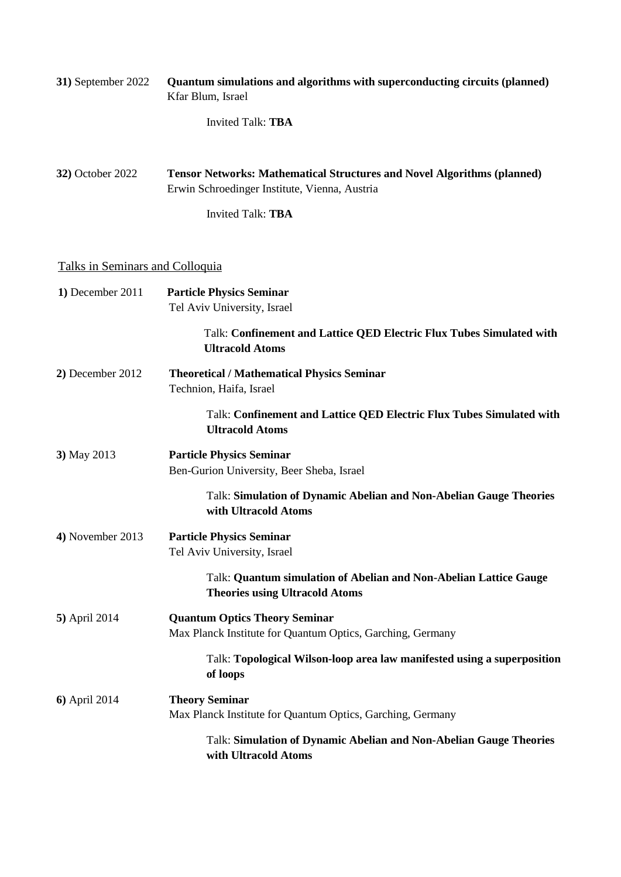| 31) September 2022                     | Quantum simulations and algorithms with superconducting circuits (planned)<br>Kfar Blum, Israel                                 |
|----------------------------------------|---------------------------------------------------------------------------------------------------------------------------------|
|                                        | <b>Invited Talk: TBA</b>                                                                                                        |
| <b>32)</b> October 2022                | <b>Tensor Networks: Mathematical Structures and Novel Algorithms (planned)</b><br>Erwin Schroedinger Institute, Vienna, Austria |
|                                        | <b>Invited Talk: TBA</b>                                                                                                        |
| <b>Talks in Seminars and Colloquia</b> |                                                                                                                                 |
| 1) December 2011                       | <b>Particle Physics Seminar</b><br>Tel Aviv University, Israel                                                                  |
|                                        | Talk: Confinement and Lattice QED Electric Flux Tubes Simulated with<br><b>Ultracold Atoms</b>                                  |
| 2) December 2012                       | <b>Theoretical / Mathematical Physics Seminar</b><br>Technion, Haifa, Israel                                                    |
|                                        | Talk: Confinement and Lattice QED Electric Flux Tubes Simulated with<br><b>Ultracold Atoms</b>                                  |
| 3) May 2013                            | <b>Particle Physics Seminar</b><br>Ben-Gurion University, Beer Sheba, Israel                                                    |
|                                        | Talk: Simulation of Dynamic Abelian and Non-Abelian Gauge Theories<br>with Ultracold Atoms                                      |
| $4)$ November 2013                     | <b>Particle Physics Seminar</b><br>Tel Aviv University, Israel                                                                  |
|                                        | Talk: Quantum simulation of Abelian and Non-Abelian Lattice Gauge<br><b>Theories using Ultracold Atoms</b>                      |
| 5) April 2014                          | <b>Quantum Optics Theory Seminar</b><br>Max Planck Institute for Quantum Optics, Garching, Germany                              |
|                                        | Talk: Topological Wilson-loop area law manifested using a superposition<br>of loops                                             |
| 6) April 2014                          | <b>Theory Seminar</b><br>Max Planck Institute for Quantum Optics, Garching, Germany                                             |
|                                        | Talk: Simulation of Dynamic Abelian and Non-Abelian Gauge Theories<br>with Ultracold Atoms                                      |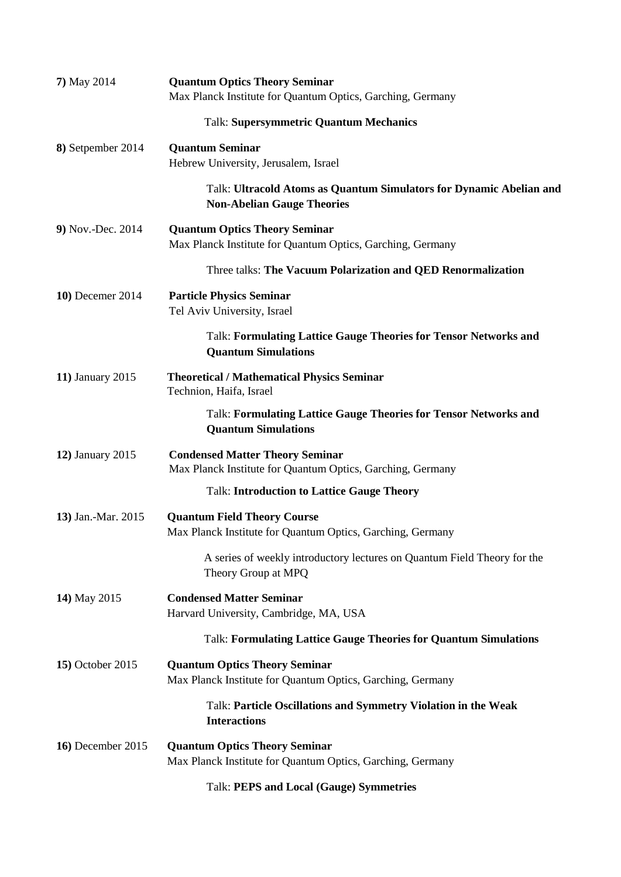| 7) May 2014               | <b>Quantum Optics Theory Seminar</b><br>Max Planck Institute for Quantum Optics, Garching, Germany       |
|---------------------------|----------------------------------------------------------------------------------------------------------|
|                           | <b>Talk: Supersymmetric Quantum Mechanics</b>                                                            |
| 8) Setpember 2014         | <b>Quantum Seminar</b><br>Hebrew University, Jerusalem, Israel                                           |
|                           | Talk: Ultracold Atoms as Quantum Simulators for Dynamic Abelian and<br><b>Non-Abelian Gauge Theories</b> |
| 9) Nov.-Dec. 2014         | <b>Quantum Optics Theory Seminar</b><br>Max Planck Institute for Quantum Optics, Garching, Germany       |
|                           | Three talks: The Vacuum Polarization and QED Renormalization                                             |
| <b>10)</b> Decemer 2014   | <b>Particle Physics Seminar</b><br>Tel Aviv University, Israel                                           |
|                           | Talk: Formulating Lattice Gauge Theories for Tensor Networks and<br><b>Quantum Simulations</b>           |
| 11) January 2015          | <b>Theoretical / Mathematical Physics Seminar</b><br>Technion, Haifa, Israel                             |
|                           | Talk: Formulating Lattice Gauge Theories for Tensor Networks and<br><b>Quantum Simulations</b>           |
| 12) January 2015          | <b>Condensed Matter Theory Seminar</b><br>Max Planck Institute for Quantum Optics, Garching, Germany     |
|                           | <b>Talk: Introduction to Lattice Gauge Theory</b>                                                        |
| 13) Jan.-Mar. 2015        | <b>Quantum Field Theory Course</b><br>Max Planck Institute for Quantum Optics, Garching, Germany         |
|                           | A series of weekly introductory lectures on Quantum Field Theory for the<br>Theory Group at MPQ          |
| 14) May 2015              | <b>Condensed Matter Seminar</b><br>Harvard University, Cambridge, MA, USA                                |
|                           | Talk: Formulating Lattice Gauge Theories for Quantum Simulations                                         |
| 15) October 2015          | <b>Quantum Optics Theory Seminar</b><br>Max Planck Institute for Quantum Optics, Garching, Germany       |
|                           | Talk: Particle Oscillations and Symmetry Violation in the Weak<br><b>Interactions</b>                    |
| <b>16</b> ) December 2015 | <b>Quantum Optics Theory Seminar</b><br>Max Planck Institute for Quantum Optics, Garching, Germany       |
|                           |                                                                                                          |

#### Talk: **PEPS and Local (Gauge) Symmetries**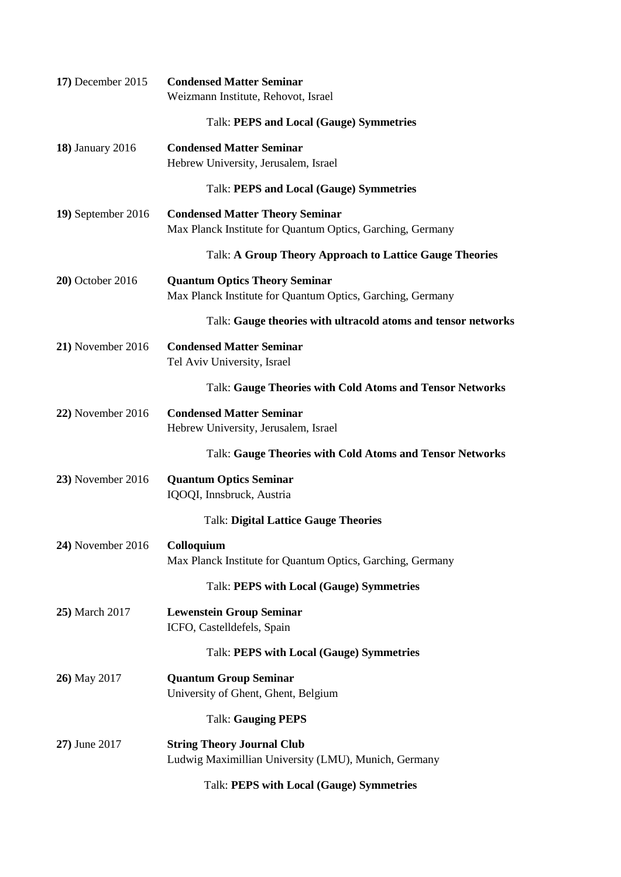| 17) December 2015     | <b>Condensed Matter Seminar</b><br>Weizmann Institute, Rehovot, Israel                               |
|-----------------------|------------------------------------------------------------------------------------------------------|
|                       | <b>Talk: PEPS and Local (Gauge) Symmetries</b>                                                       |
| 18) January 2016      | <b>Condensed Matter Seminar</b><br>Hebrew University, Jerusalem, Israel                              |
|                       | <b>Talk: PEPS and Local (Gauge) Symmetries</b>                                                       |
| 19) September 2016    | <b>Condensed Matter Theory Seminar</b><br>Max Planck Institute for Quantum Optics, Garching, Germany |
|                       | Talk: A Group Theory Approach to Lattice Gauge Theories                                              |
| 20) October 2016      | <b>Quantum Optics Theory Seminar</b><br>Max Planck Institute for Quantum Optics, Garching, Germany   |
|                       | Talk: Gauge theories with ultracold atoms and tensor networks                                        |
| 21) November 2016     | <b>Condensed Matter Seminar</b><br>Tel Aviv University, Israel                                       |
|                       | <b>Talk: Gauge Theories with Cold Atoms and Tensor Networks</b>                                      |
| 22) November 2016     | <b>Condensed Matter Seminar</b><br>Hebrew University, Jerusalem, Israel                              |
|                       | Talk: Gauge Theories with Cold Atoms and Tensor Networks                                             |
| 23) November 2016     | <b>Quantum Optics Seminar</b><br>IQOQI, Innsbruck, Austria                                           |
|                       | <b>Talk: Digital Lattice Gauge Theories</b>                                                          |
| 24) November 2016     | Colloquium<br>Max Planck Institute for Quantum Optics, Garching, Germany                             |
|                       | <b>Talk: PEPS with Local (Gauge) Symmetries</b>                                                      |
| <b>25)</b> March 2017 | <b>Lewenstein Group Seminar</b><br>ICFO, Castelldefels, Spain                                        |
|                       | <b>Talk: PEPS with Local (Gauge) Symmetries</b>                                                      |
| 26) May 2017          | <b>Quantum Group Seminar</b><br>University of Ghent, Ghent, Belgium                                  |
|                       | <b>Talk: Gauging PEPS</b>                                                                            |
| 27) June 2017         | <b>String Theory Journal Club</b><br>Ludwig Maximillian University (LMU), Munich, Germany            |
|                       | Talk: PEPS with Local (Gauge) Symmetries                                                             |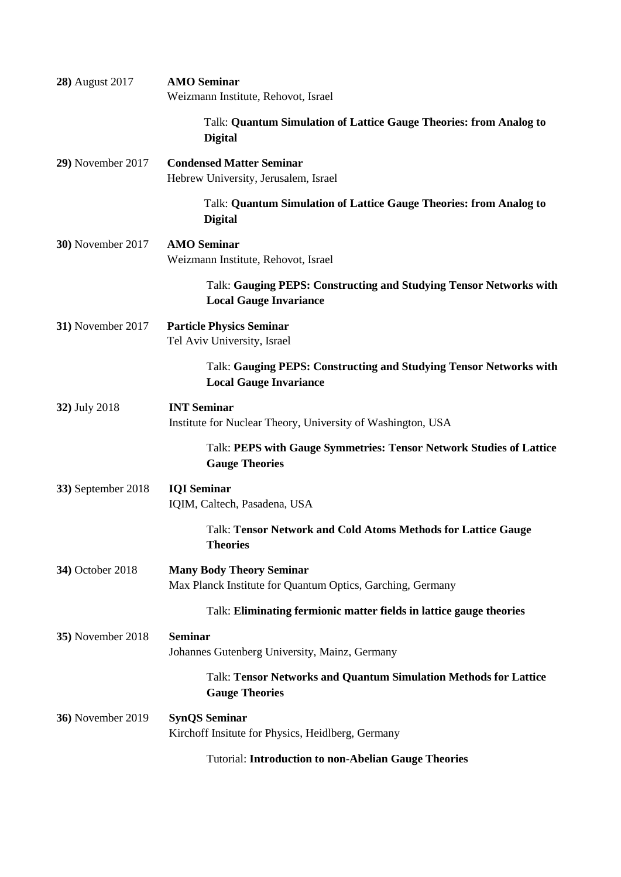| 28) August 2017          | <b>AMO Seminar</b><br>Weizmann Institute, Rehovot, Israel                                           |
|--------------------------|-----------------------------------------------------------------------------------------------------|
|                          | Talk: Quantum Simulation of Lattice Gauge Theories: from Analog to<br><b>Digital</b>                |
| 29) November 2017        | <b>Condensed Matter Seminar</b><br>Hebrew University, Jerusalem, Israel                             |
|                          | Talk: Quantum Simulation of Lattice Gauge Theories: from Analog to<br><b>Digital</b>                |
| <b>30)</b> November 2017 | <b>AMO Seminar</b><br>Weizmann Institute, Rehovot, Israel                                           |
|                          | Talk: Gauging PEPS: Constructing and Studying Tensor Networks with<br><b>Local Gauge Invariance</b> |
| <b>31)</b> November 2017 | <b>Particle Physics Seminar</b><br>Tel Aviv University, Israel                                      |
|                          | Talk: Gauging PEPS: Constructing and Studying Tensor Networks with<br><b>Local Gauge Invariance</b> |
| 32) July 2018            | <b>INT Seminar</b><br>Institute for Nuclear Theory, University of Washington, USA                   |
|                          | Talk: PEPS with Gauge Symmetries: Tensor Network Studies of Lattice<br><b>Gauge Theories</b>        |
| 33) September 2018       | <b>IQI</b> Seminar<br>IQIM, Caltech, Pasadena, USA                                                  |
|                          | Talk: Tensor Network and Cold Atoms Methods for Lattice Gauge<br><b>Theories</b>                    |
| 34) October 2018         | <b>Many Body Theory Seminar</b><br>Max Planck Institute for Quantum Optics, Garching, Germany       |
|                          | Talk: Eliminating fermionic matter fields in lattice gauge theories                                 |
| 35) November 2018        | <b>Seminar</b><br>Johannes Gutenberg University, Mainz, Germany                                     |
|                          | Talk: Tensor Networks and Quantum Simulation Methods for Lattice<br><b>Gauge Theories</b>           |
| <b>36)</b> November 2019 | <b>SynQS Seminar</b><br>Kirchoff Insitute for Physics, Heidlberg, Germany                           |
|                          | <b>Tutorial: Introduction to non-Abelian Gauge Theories</b>                                         |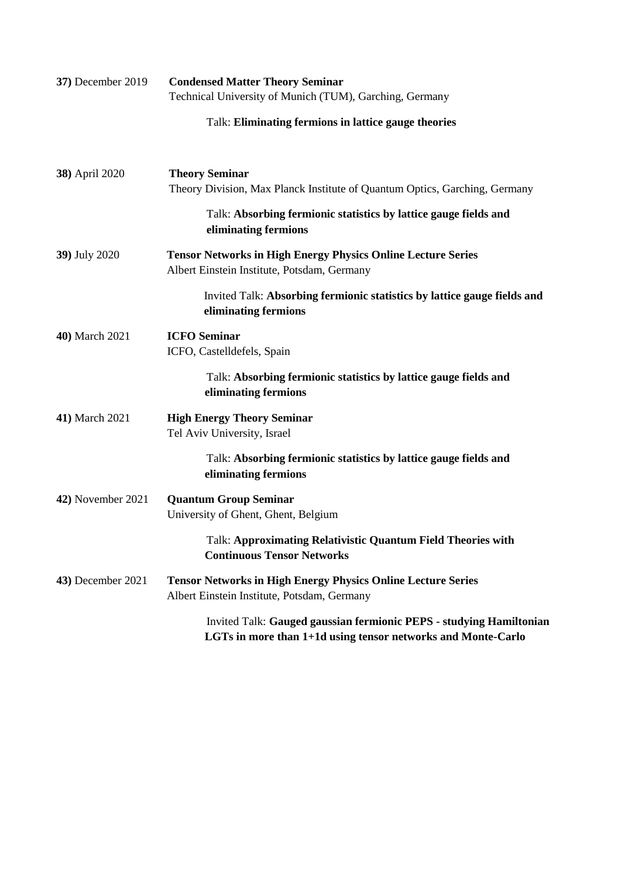| 37) December 2019        | <b>Condensed Matter Theory Seminar</b><br>Technical University of Munich (TUM), Garching, Germany                                   |
|--------------------------|-------------------------------------------------------------------------------------------------------------------------------------|
|                          | Talk: Eliminating fermions in lattice gauge theories                                                                                |
| 38) April 2020           | <b>Theory Seminar</b><br>Theory Division, Max Planck Institute of Quantum Optics, Garching, Germany                                 |
|                          | Talk: Absorbing fermionic statistics by lattice gauge fields and<br>eliminating fermions                                            |
| 39) July 2020            | <b>Tensor Networks in High Energy Physics Online Lecture Series</b><br>Albert Einstein Institute, Potsdam, Germany                  |
|                          | Invited Talk: Absorbing fermionic statistics by lattice gauge fields and<br>eliminating fermions                                    |
| 40) March 2021           | <b>ICFO</b> Seminar<br>ICFO, Castelldefels, Spain                                                                                   |
|                          | Talk: Absorbing fermionic statistics by lattice gauge fields and<br>eliminating fermions                                            |
| 41) March 2021           | <b>High Energy Theory Seminar</b><br>Tel Aviv University, Israel                                                                    |
|                          | Talk: Absorbing fermionic statistics by lattice gauge fields and<br>eliminating fermions                                            |
| 42) November 2021        | <b>Quantum Group Seminar</b><br>University of Ghent, Ghent, Belgium                                                                 |
|                          | Talk: Approximating Relativistic Quantum Field Theories with<br><b>Continuous Tensor Networks</b>                                   |
| <b>43)</b> December 2021 | <b>Tensor Networks in High Energy Physics Online Lecture Series</b><br>Albert Einstein Institute, Potsdam, Germany                  |
|                          | Invited Talk: Gauged gaussian fermionic PEPS - studying Hamiltonian<br>LGTs in more than 1+1d using tensor networks and Monte-Carlo |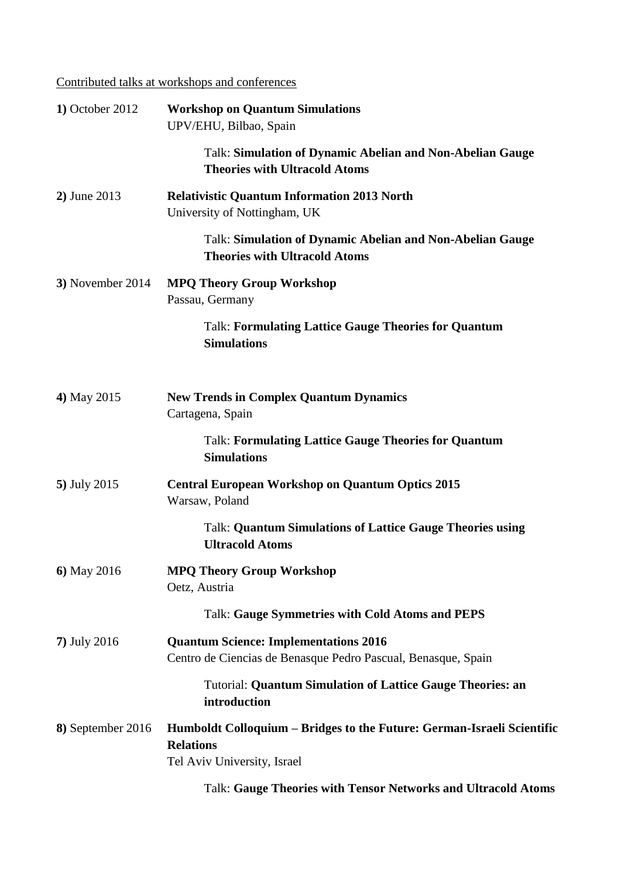Contributed talks at workshops and conferences

| 1) October 2012     | <b>Workshop on Quantum Simulations</b><br>UPV/EHU, Bilbao, Spain                                                          |
|---------------------|---------------------------------------------------------------------------------------------------------------------------|
|                     | Talk: Simulation of Dynamic Abelian and Non-Abelian Gauge<br><b>Theories with Ultracold Atoms</b>                         |
| 2) June 2013        | <b>Relativistic Quantum Information 2013 North</b><br>University of Nottingham, UK                                        |
|                     | Talk: Simulation of Dynamic Abelian and Non-Abelian Gauge<br><b>Theories with Ultracold Atoms</b>                         |
| 3) November 2014    | <b>MPQ Theory Group Workshop</b><br>Passau, Germany                                                                       |
|                     | <b>Talk: Formulating Lattice Gauge Theories for Quantum</b><br><b>Simulations</b>                                         |
| 4) May 2015         | <b>New Trends in Complex Quantum Dynamics</b><br>Cartagena, Spain                                                         |
|                     | <b>Talk: Formulating Lattice Gauge Theories for Quantum</b><br><b>Simulations</b>                                         |
| 5) July 2015        | <b>Central European Workshop on Quantum Optics 2015</b><br>Warsaw, Poland                                                 |
|                     | <b>Talk: Quantum Simulations of Lattice Gauge Theories using</b><br><b>Ultracold Atoms</b>                                |
| 6) May 2016         | <b>MPQ Theory Group Workshop</b><br>Oetz, Austria                                                                         |
|                     | Talk: Gauge Symmetries with Cold Atoms and PEPS                                                                           |
| <b>7)</b> July 2016 | <b>Quantum Science: Implementations 2016</b><br>Centro de Ciencias de Benasque Pedro Pascual, Benasque, Spain             |
|                     | <b>Tutorial: Quantum Simulation of Lattice Gauge Theories: an</b><br>introduction                                         |
| 8) September 2016   | Humboldt Colloquium – Bridges to the Future: German-Israeli Scientific<br><b>Relations</b><br>Tel Aviv University, Israel |

Talk: **Gauge Theories with Tensor Networks and Ultracold Atoms**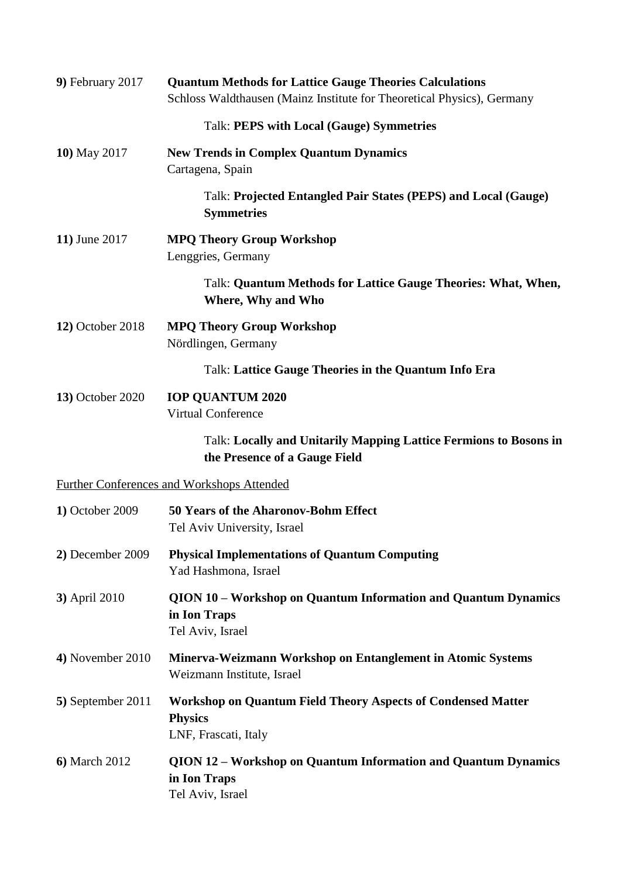| 9) February 2017        | <b>Quantum Methods for Lattice Gauge Theories Calculations</b><br>Schloss Waldthausen (Mainz Institute for Theoretical Physics), Germany |
|-------------------------|------------------------------------------------------------------------------------------------------------------------------------------|
|                         | <b>Talk: PEPS with Local (Gauge) Symmetries</b>                                                                                          |
| <b>10)</b> May 2017     | <b>New Trends in Complex Quantum Dynamics</b><br>Cartagena, Spain                                                                        |
|                         | Talk: Projected Entangled Pair States (PEPS) and Local (Gauge)<br><b>Symmetries</b>                                                      |
| 11) June 2017           | <b>MPQ Theory Group Workshop</b><br>Lenggries, Germany                                                                                   |
|                         | Talk: Quantum Methods for Lattice Gauge Theories: What, When,<br><b>Where, Why and Who</b>                                               |
| <b>12)</b> October 2018 | <b>MPQ Theory Group Workshop</b><br>Nördlingen, Germany                                                                                  |
|                         | Talk: Lattice Gauge Theories in the Quantum Info Era                                                                                     |
| <b>13)</b> October 2020 | <b>IOP QUANTUM 2020</b><br><b>Virtual Conference</b>                                                                                     |
|                         | Talk: Locally and Unitarily Mapping Lattice Fermions to Bosons in<br>the Presence of a Gauge Field                                       |
|                         | Further Conferences and Workshops Attended                                                                                               |
| 1) October 2009         | 50 Years of the Aharonov-Bohm Effect<br>Tel Aviv University, Israel                                                                      |
| 2) December 2009        | <b>Physical Implementations of Quantum Computing</b><br>Yad Hashmona, Israel                                                             |
| 3) April 2010           | QION 10 – Workshop on Quantum Information and Quantum Dynamics<br>in Ion Traps<br>Tel Aviv, Israel                                       |
| 4) November 2010        | Minerva-Weizmann Workshop on Entanglement in Atomic Systems<br>Weizmann Institute, Israel                                                |
| 5) September 2011       | <b>Workshop on Quantum Field Theory Aspects of Condensed Matter</b><br><b>Physics</b><br>LNF, Frascati, Italy                            |
| 6) March 2012           | QION 12 – Workshop on Quantum Information and Quantum Dynamics<br>in Ion Traps<br>Tel Aviv, Israel                                       |